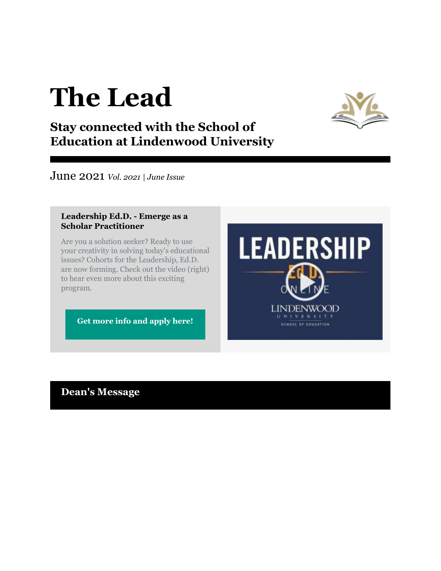# **The Lead**



# **Stay connected with the School of Education at Lindenwood University**

June 2021 *Vol. 2021 | June Issue*

### **Leadership Ed.D. - Emerge as a Scholar Practitioner**

Are you a solution seeker? Ready to use your creativity in solving today's educational issues? Cohorts for the Leadership, Ed.D. are now forming. Check out the video (right) to hear even more about this exciting program.

**[Get more info and apply here!](https://r20.rs6.net/tn.jsp?f=001OyudalaqMfDmek_wghEkf8lnrtCzqTnIQ26e7PriG-1f0LepKVAv-WOUusU-GRCNwmoQWHsAAEYAZQBFe6X6vv-h6nZ8WSTFeTvdeRcIs6uzTqo9DpRvJSgypReUy4wpnSBbIxDLkzISorCrIAdAGl4ZI7l3cSScQB7lOHf-3Vl7v2W6NPac7OgZAX1a8Mk3FwiB1lA9lFXUB72JNFBrB6w77U81R_msGH98cVrqJg_xqXYdNL4XG6TikCZgqbftN6OlW5Bxmd4x61bAr_VRKQ==&c=5N-BnfQZgtP9-4SSjLftOdk1hXeHR4h-hrHNI1Q9ZKsvJiNx6xcHAg==&ch=ecfgd0ELksFnUYtmzbaHD1C7naYMSTxWL1Le43lIU4hMh3VvPMsyVw==)**



# **Dean's Message**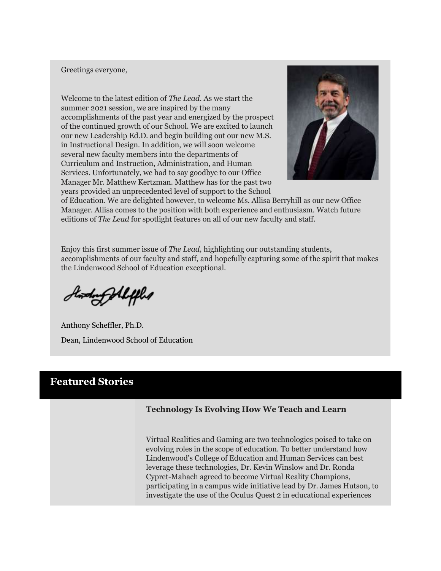### Greetings everyone,

Welcome to the latest edition of *The Lead*. As we start the summer 2021 session, we are inspired by the many accomplishments of the past year and energized by the prospect of the continued growth of our School. We are excited to launch our new Leadership Ed.D. and begin building out our new M.S. in Instructional Design. In addition, we will soon welcome several new faculty members into the departments of Curriculum and Instruction, Administration, and Human Services. Unfortunately, we had to say goodbye to our Office Manager Mr. Matthew Kertzman. Matthew has for the past two years provided an unprecedented level of support to the School



of Education. We are delighted however, to welcome Ms. Allisa Berryhill as our new Office Manager. Allisa comes to the position with both experience and enthusiasm. Watch future editions of *The Lead* for spotlight features on all of our new faculty and staff.

Enjoy this first summer issue of *The Lead,* highlighting our outstanding students, accomplishments of our faculty and staff, and hopefully capturing some of the spirit that makes the Lindenwood School of Education exceptional.

Howdong Aleffled

Anthony Scheffler, Ph.D. Dean, Lindenwood School of Education

### **Featured Stories**

### **Technology Is Evolving How We Teach and Learn**

Virtual Realities and Gaming are two technologies poised to take on evolving roles in the scope of education. To better understand how Lindenwood's College of Education and Human Services can best leverage these technologies, Dr. Kevin Winslow and Dr. Ronda Cypret-Mahach agreed to become Virtual Reality Champions, participating in a campus wide initiative lead by Dr. James Hutson, to investigate the use of the Oculus Quest 2 in educational experiences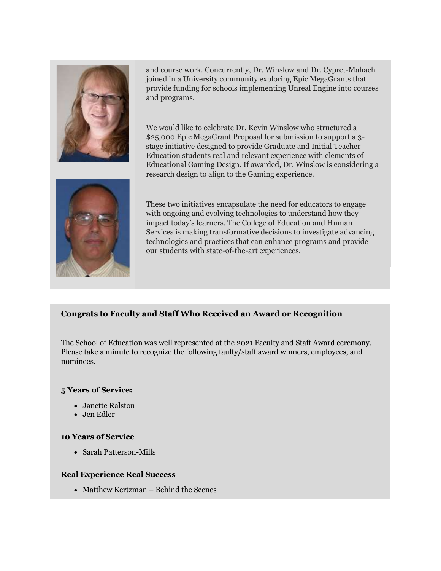

and course work. Concurrently, Dr. Winslow and Dr. Cypret-Mahach joined in a University community exploring Epic MegaGrants that provide funding for schools implementing Unreal Engine into courses and programs.

We would like to celebrate Dr. Kevin Winslow who structured a \$25,000 Epic MegaGrant Proposal for submission to support a 3 stage initiative designed to provide Graduate and Initial Teacher Education students real and relevant experience with elements of Educational Gaming Design. If awarded, Dr. Winslow is considering a research design to align to the Gaming experience.



These two initiatives encapsulate the need for educators to engage with ongoing and evolving technologies to understand how they impact today's learners. The College of Education and Human Services is making transformative decisions to investigate advancing technologies and practices that can enhance programs and provide our students with state-of-the-art experiences.

### **Congrats to Faculty and Staff Who Received an Award or Recognition**

The School of Education was well represented at the 2021 Faculty and Staff Award ceremony. Please take a minute to recognize the following faulty/staff award winners, employees, and nominees.

### **5 Years of Service:**

- Janette Ralston
- Jen Edler

### **10 Years of Service**

Sarah Patterson-Mills

### **Real Experience Real Success**

• Matthew Kertzman – Behind the Scenes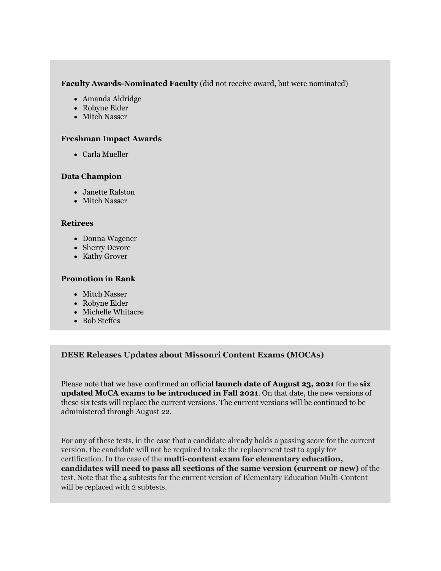### **Faculty Awards-Nominated Faculty** (did not receive award, but were nominated)

- Amanda Aldridge
- Robyne Elder
- Mitch Nasser

### **Freshman Impact Awards**

Carla Mueller

### **Data Champion**

- Janette Ralston
- Mitch Nasser

### **Retirees**

- Donna Wagener
- Sherry Devore
- Kathy Grover

### **Promotion in Rank**

- Mitch Nasser
- Robyne Elder
- Michelle Whitacre
- Bob Steffes

### **DESE Releases Updates about Missouri Content Exams (MOCAs)**

Please note that we have confirmed an official **launch date of August 23, 2021** for the **six updated MoCA exams to be introduced in Fall 2021**. On that date, the new versions of these six tests will replace the current versions. The current versions will be continued to be administered through August 22.

For any of these tests, in the case that a candidate already holds a passing score for the current version, the candidate will not be required to take the replacement test to apply for certification. In the case of the **multi-content exam for elementary education, candidates will need to pass all sections of the same version (current or new)** of the test. Note that the 4 subtests for the current version of Elementary Education Multi-Content will be replaced with 2 subtests.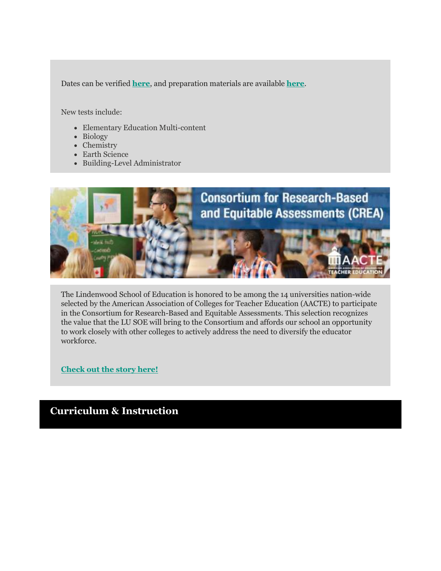Dates can be verified **[here](https://r20.rs6.net/tn.jsp?f=001OyudalaqMfDmek_wghEkf8lnrtCzqTnIQ26e7PriG-1f0LepKVAv-a3utJUFsGt7iMmaEDgijmlRYHn9JtRNJI_6Jy-XlO9TvY4AXlAOQlLUthg8WvypbzDh9I77j0uW2C3Ga07bO3DYvd0H2bO5eHmSWkmUcupsAZyFM8VEniFLrVk339VgmA6WO7NZgCwO&c=5N-BnfQZgtP9-4SSjLftOdk1hXeHR4h-hrHNI1Q9ZKsvJiNx6xcHAg==&ch=ecfgd0ELksFnUYtmzbaHD1C7naYMSTxWL1Le43lIU4hMh3VvPMsyVw==)**, and preparation materials are available **[here](https://r20.rs6.net/tn.jsp?f=001OyudalaqMfDmek_wghEkf8lnrtCzqTnIQ26e7PriG-1f0LepKVAv-a3utJUFsGt78jYJXovHZ8sntFoPSpCzqPuhicjPsbHyblQlwIGkqm5w_odDVUjybelYZ0Bijg_ppJ93IkuzY5HDOj6fysTY86f7XpPU19wWi81tuswkCM-P2vGreaGoI1OmWLGiYNGV&c=5N-BnfQZgtP9-4SSjLftOdk1hXeHR4h-hrHNI1Q9ZKsvJiNx6xcHAg==&ch=ecfgd0ELksFnUYtmzbaHD1C7naYMSTxWL1Le43lIU4hMh3VvPMsyVw==)**.

New tests include:

- Elementary Education Multi-content
- Biology
- Chemistry
- Earth Science
- Building-Level Administrator



The Lindenwood School of Education is honored to be among the 14 universities nation-wide selected by the American Association of Colleges for Teacher Education (AACTE) to participate in the Consortium for Research-Based and Equitable Assessments. This selection recognizes the value that the LU SOE will bring to the Consortium and affords our school an opportunity to work closely with other colleges to actively address the need to diversify the educator workforce.

**[Check out the story here!](https://r20.rs6.net/tn.jsp?f=001OyudalaqMfDmek_wghEkf8lnrtCzqTnIQ26e7PriG-1f0LepKVAv-a3utJUFsGt777rfiZdRKJLUKtdaQRUYAv2aVsivPkP_93jtlb-IqbwuXuliV2efuY842mpsTtXrCZyS9tYJ1Rn62_iBOgaU3p4WAKNwFWOTsfnok2G0OxpXMGV95Krz5Vmoew46tCBXLpmrP7N_MS2qsxndgPM9VMVThHUOkLd7XTMrhrhbz7O-iLORF1tOfN_szQ_1l5jd6LtIPq0KWgeGcqSxOIQvMQ==&c=5N-BnfQZgtP9-4SSjLftOdk1hXeHR4h-hrHNI1Q9ZKsvJiNx6xcHAg==&ch=ecfgd0ELksFnUYtmzbaHD1C7naYMSTxWL1Le43lIU4hMh3VvPMsyVw==)**

### **Curriculum & Instruction**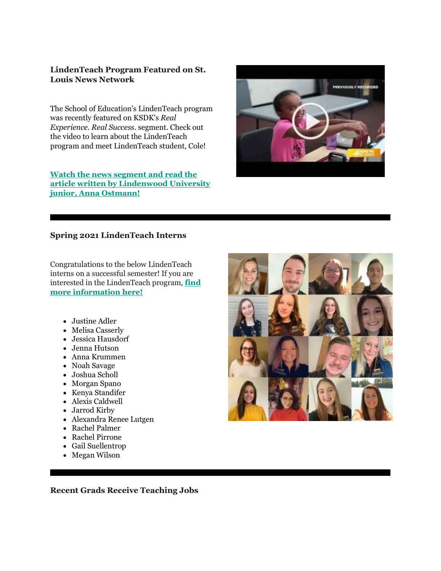### **LindenTeach Program Featured on St. Louis News Network**

The School of Education's LindenTeach program was recently featured on KSDK's *Real Experience. Real Success*. segment. Check out the video to learn about the LindenTeach program and meet LindenTeach student, Cole!

**[Watch the news segment and read the](https://r20.rs6.net/tn.jsp?f=001OyudalaqMfDmek_wghEkf8lnrtCzqTnIQ26e7PriG-1f0LepKVAv-a3utJUFsGt77ZfBqNAVpmgUtqp8W9BqVHRih67eBVtn8o9DJAEi3An5zSwo6wxOEZBjBRT2rxEU11yaNptmNwgHxJRUEiUnLDkACOhJQDy9AV-KyDaYW9xc6uFMpBmSEJTODvtRhYYds6FgboCWU-gq3b4Fkd8eG6BQ-W15hSlo98sA0XIHuumpF6EKsF49nLLxD2XkY73JsJmlKUlmpezW4sOA4HllpsNziLwlMCWatBzaCJp_zzbPjycUdUAIFdDvNl-ZZUZnw5R4FybuLyIPlK-pyGBLJ4TCTKY18bT1FGlTz6GHCC3_7JIJ-jBOfA==&c=5N-BnfQZgtP9-4SSjLftOdk1hXeHR4h-hrHNI1Q9ZKsvJiNx6xcHAg==&ch=ecfgd0ELksFnUYtmzbaHD1C7naYMSTxWL1Le43lIU4hMh3VvPMsyVw==)  [article written by Lindenwood University](https://r20.rs6.net/tn.jsp?f=001OyudalaqMfDmek_wghEkf8lnrtCzqTnIQ26e7PriG-1f0LepKVAv-a3utJUFsGt77ZfBqNAVpmgUtqp8W9BqVHRih67eBVtn8o9DJAEi3An5zSwo6wxOEZBjBRT2rxEU11yaNptmNwgHxJRUEiUnLDkACOhJQDy9AV-KyDaYW9xc6uFMpBmSEJTODvtRhYYds6FgboCWU-gq3b4Fkd8eG6BQ-W15hSlo98sA0XIHuumpF6EKsF49nLLxD2XkY73JsJmlKUlmpezW4sOA4HllpsNziLwlMCWatBzaCJp_zzbPjycUdUAIFdDvNl-ZZUZnw5R4FybuLyIPlK-pyGBLJ4TCTKY18bT1FGlTz6GHCC3_7JIJ-jBOfA==&c=5N-BnfQZgtP9-4SSjLftOdk1hXeHR4h-hrHNI1Q9ZKsvJiNx6xcHAg==&ch=ecfgd0ELksFnUYtmzbaHD1C7naYMSTxWL1Le43lIU4hMh3VvPMsyVw==)  [junior, Anna Ostmann!](https://r20.rs6.net/tn.jsp?f=001OyudalaqMfDmek_wghEkf8lnrtCzqTnIQ26e7PriG-1f0LepKVAv-a3utJUFsGt77ZfBqNAVpmgUtqp8W9BqVHRih67eBVtn8o9DJAEi3An5zSwo6wxOEZBjBRT2rxEU11yaNptmNwgHxJRUEiUnLDkACOhJQDy9AV-KyDaYW9xc6uFMpBmSEJTODvtRhYYds6FgboCWU-gq3b4Fkd8eG6BQ-W15hSlo98sA0XIHuumpF6EKsF49nLLxD2XkY73JsJmlKUlmpezW4sOA4HllpsNziLwlMCWatBzaCJp_zzbPjycUdUAIFdDvNl-ZZUZnw5R4FybuLyIPlK-pyGBLJ4TCTKY18bT1FGlTz6GHCC3_7JIJ-jBOfA==&c=5N-BnfQZgtP9-4SSjLftOdk1hXeHR4h-hrHNI1Q9ZKsvJiNx6xcHAg==&ch=ecfgd0ELksFnUYtmzbaHD1C7naYMSTxWL1Le43lIU4hMh3VvPMsyVw==)** 

# PREVIOUSLY RECORDED

### **Spring 2021 LindenTeach Interns**

Congratulations to the below LindenTeach interns on a successful semester! If you are interested in the LindenTeach program, **[find](https://r20.rs6.net/tn.jsp?f=001OyudalaqMfDmek_wghEkf8lnrtCzqTnIQ26e7PriG-1f0LepKVAv-a3utJUFsGt79V8FAupwlT-dyGYDpwvI-m9bcFOPFsDQUI_HeOAVn5L_o_Vb4JwgOHjxLxuag5nlOdUX466krP7WZ4lvFvAT6mGyrPVQerfOrgGwKfeq1uYOcmwceVUqD4SFHomak6DFtlWRcVeFthpd5xMgbvRh-m8feKLpaBLxoToHadufUq6GeVhu_gc90Wkb3SXwbRRRu05uiSAsmr8=&c=5N-BnfQZgtP9-4SSjLftOdk1hXeHR4h-hrHNI1Q9ZKsvJiNx6xcHAg==&ch=ecfgd0ELksFnUYtmzbaHD1C7naYMSTxWL1Le43lIU4hMh3VvPMsyVw==)  [more information here!](https://r20.rs6.net/tn.jsp?f=001OyudalaqMfDmek_wghEkf8lnrtCzqTnIQ26e7PriG-1f0LepKVAv-a3utJUFsGt79V8FAupwlT-dyGYDpwvI-m9bcFOPFsDQUI_HeOAVn5L_o_Vb4JwgOHjxLxuag5nlOdUX466krP7WZ4lvFvAT6mGyrPVQerfOrgGwKfeq1uYOcmwceVUqD4SFHomak6DFtlWRcVeFthpd5xMgbvRh-m8feKLpaBLxoToHadufUq6GeVhu_gc90Wkb3SXwbRRRu05uiSAsmr8=&c=5N-BnfQZgtP9-4SSjLftOdk1hXeHR4h-hrHNI1Q9ZKsvJiNx6xcHAg==&ch=ecfgd0ELksFnUYtmzbaHD1C7naYMSTxWL1Le43lIU4hMh3VvPMsyVw==)**

- Justine Adler
- Melisa Casserly
- Jessica Hausdorf
- Jenna Hutson
- Anna Krummen
- Noah Savage
- Joshua Scholl
- Morgan Spano
- Kenya Standifer
- Alexis Caldwell
- Jarrod Kirby
- Alexandra Renee Lutgen
- Rachel Palmer
- Rachel Pirrone
- Gail Suellentrop
- Megan Wilson



**Recent Grads Receive Teaching Jobs**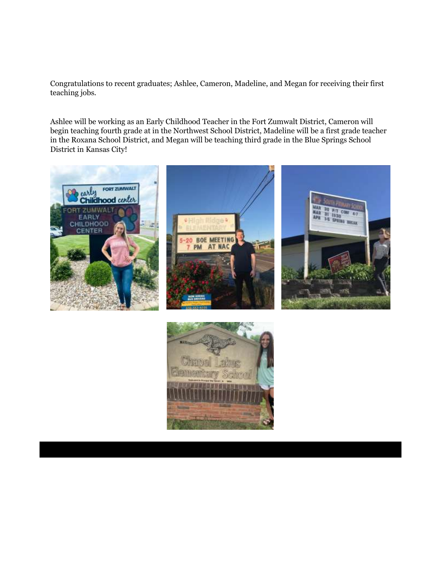Congratulations to recent graduates; Ashlee, Cameron, Madeline, and Megan for receiving their first teaching jobs.

Ashlee will be working as an Early Childhood Teacher in the Fort Zumwalt District, Cameron will begin teaching fourth grade at in the Northwest School District, Madeline will be a first grade teacher in the Roxana School District, and Megan will be teaching third grade in the Blue Springs School District in Kansas City!



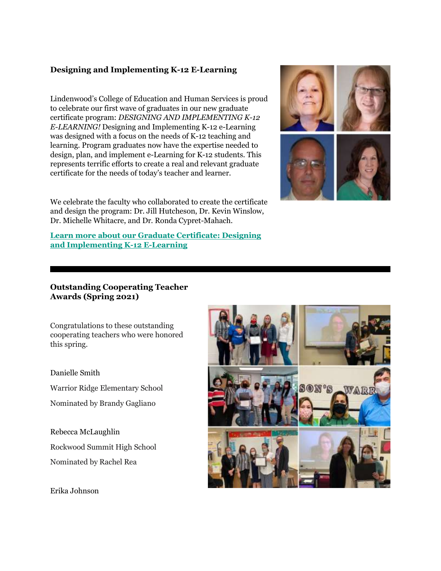### **Designing and Implementing K-12 E-Learning**

Lindenwood's College of Education and Human Services is proud to celebrate our first wave of graduates in our new graduate certificate program: *DESIGNING AND IMPLEMENTING K-12 E-LEARNING!* Designing and Implementing K-12 e-Learning was designed with a focus on the needs of K-12 teaching and learning. Program graduates now have the expertise needed to design, plan, and implement e-Learning for K-12 students. This represents terrific efforts to create a real and relevant graduate certificate for the needs of today's teacher and learner.



We celebrate the faculty who collaborated to create the certificate and design the program: Dr. Jill Hutcheson, Dr. Kevin Winslow, Dr. Michelle Whitacre, and Dr. Ronda Cypret-Mahach.

**Learn more about our [Graduate Certificate: Designing](https://r20.rs6.net/tn.jsp?f=001OyudalaqMfDmek_wghEkf8lnrtCzqTnIQ26e7PriG-1f0LepKVAv-a3utJUFsGt7yRZQJcNy1UvD4t8XIjdYPrIx3fzMCdFE5gPVulVxOqfpzzeQKp-QBEqGsHASZcPp42WRIjVvU70CFo1z4EHKMzmHbgmQbx4qpFl0KOuFL9WxxgrCEuz0xUV7cw_u040EzxC6ZHPQxtL_NjUd3ouFU4dHFrdBY08g9pNjL-BAItl8qkLWNUjXK6fkgqWC9hRTrl3nLAahwDlB-G-eYfTdjEiX6xdrSzqV9SL_uOWPJ6WETQiFLC1jOc7BG5G7Kt6pHfiTG4Ulkjo=&c=5N-BnfQZgtP9-4SSjLftOdk1hXeHR4h-hrHNI1Q9ZKsvJiNx6xcHAg==&ch=ecfgd0ELksFnUYtmzbaHD1C7naYMSTxWL1Le43lIU4hMh3VvPMsyVw==)  [and Implementing K-12 E-Learning](https://r20.rs6.net/tn.jsp?f=001OyudalaqMfDmek_wghEkf8lnrtCzqTnIQ26e7PriG-1f0LepKVAv-a3utJUFsGt7yRZQJcNy1UvD4t8XIjdYPrIx3fzMCdFE5gPVulVxOqfpzzeQKp-QBEqGsHASZcPp42WRIjVvU70CFo1z4EHKMzmHbgmQbx4qpFl0KOuFL9WxxgrCEuz0xUV7cw_u040EzxC6ZHPQxtL_NjUd3ouFU4dHFrdBY08g9pNjL-BAItl8qkLWNUjXK6fkgqWC9hRTrl3nLAahwDlB-G-eYfTdjEiX6xdrSzqV9SL_uOWPJ6WETQiFLC1jOc7BG5G7Kt6pHfiTG4Ulkjo=&c=5N-BnfQZgtP9-4SSjLftOdk1hXeHR4h-hrHNI1Q9ZKsvJiNx6xcHAg==&ch=ecfgd0ELksFnUYtmzbaHD1C7naYMSTxWL1Le43lIU4hMh3VvPMsyVw==)** 

### **Outstanding Cooperating Teacher Awards (Spring 2021)**

Congratulations to these outstanding cooperating teachers who were honored this spring.

Danielle Smith Warrior Ridge Elementary School Nominated by Brandy Gagliano

Rebecca McLaughlin Rockwood Summit High School Nominated by Rachel Rea



Erika Johnson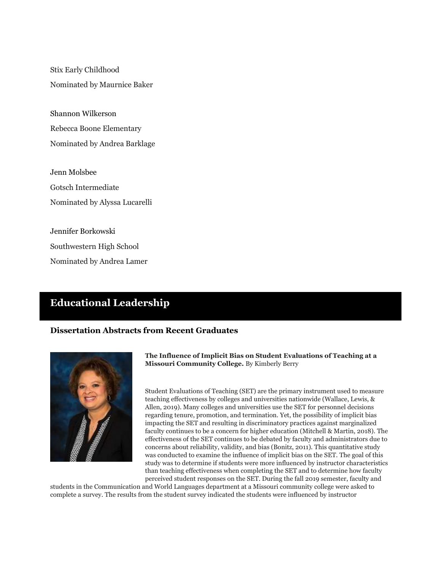Stix Early Childhood Nominated by Maurnice Baker

Shannon Wilkerson Rebecca Boone Elementary Nominated by Andrea Barklage

Jenn Molsbee Gotsch Intermediate Nominated by Alyssa Lucarelli

Jennifer Borkowski Southwestern High School Nominated by Andrea Lamer

## **Educational Leadership**

### **Dissertation Abstracts from Recent Graduates**



**The Influence of Implicit Bias on Student Evaluations of Teaching at a Missouri Community College.** By Kimberly Berry

Student Evaluations of Teaching (SET) are the primary instrument used to measure teaching effectiveness by colleges and universities nationwide (Wallace, Lewis, & Allen, 2019). Many colleges and universities use the SET for personnel decisions regarding tenure, promotion, and termination. Yet, the possibility of implicit bias impacting the SET and resulting in discriminatory practices against marginalized faculty continues to be a concern for higher education (Mitchell & Martin, 2018). The effectiveness of the SET continues to be debated by faculty and administrators due to concerns about reliability, validity, and bias (Bonitz, 2011). This quantitative study was conducted to examine the influence of implicit bias on the SET. The goal of this study was to determine if students were more influenced by instructor characteristics than teaching effectiveness when completing the SET and to determine how faculty perceived student responses on the SET. During the fall 2019 semester, faculty and

students in the Communication and World Languages department at a Missouri community college were asked to complete a survey. The results from the student survey indicated the students were influenced by instructor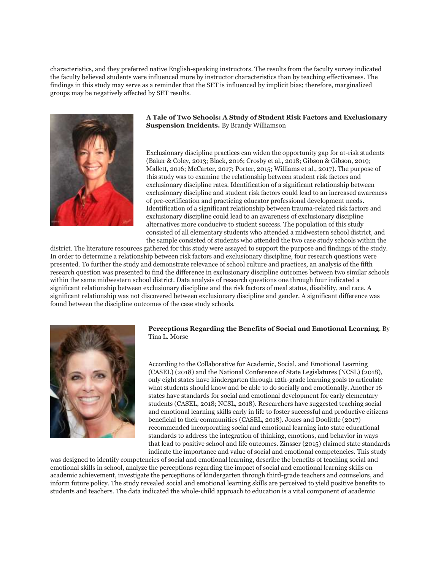characteristics, and they preferred native English-speaking instructors. The results from the faculty survey indicated the faculty believed students were influenced more by instructor characteristics than by teaching effectiveness. The findings in this study may serve as a reminder that the SET is influenced by implicit bias; therefore, marginalized groups may be negatively affected by SET results.



**A Tale of Two Schools: A Study of Student Risk Factors and Exclusionary Suspension Incidents.** By Brandy Williamson

Exclusionary discipline practices can widen the opportunity gap for at-risk students (Baker & Coley, 2013; Black, 2016; Crosby et al., 2018; Gibson & Gibson, 2019; Mallett, 2016; McCarter, 2017; Porter, 2015; Williams et al., 2017). The purpose of this study was to examine the relationship between student risk factors and exclusionary discipline rates. Identification of a significant relationship between exclusionary discipline and student risk factors could lead to an increased awareness of pre-certification and practicing educator professional development needs. Identification of a significant relationship between trauma-related risk factors and exclusionary discipline could lead to an awareness of exclusionary discipline alternatives more conducive to student success. The population of this study consisted of all elementary students who attended a midwestern school district, and the sample consisted of students who attended the two case study schools within the

district. The literature resources gathered for this study were assayed to support the purpose and findings of the study. In order to determine a relationship between risk factors and exclusionary discipline, four research questions were presented. To further the study and demonstrate relevance of school culture and practices, an analysis of the fifth research question was presented to find the difference in exclusionary discipline outcomes between two similar schools within the same midwestern school district. Data analysis of research questions one through four indicated a significant relationship between exclusionary discipline and the risk factors of meal status, disability, and race. A significant relationship was not discovered between exclusionary discipline and gender. A significant difference was found between the discipline outcomes of the case study schools.



#### **Perceptions Regarding the Benefits of Social and Emotional Learning**. By Tina L. Morse

According to the Collaborative for Academic, Social, and Emotional Learning (CASEL) (2018) and the National Conference of State Legislatures (NCSL) (2018), only eight states have kindergarten through 12th-grade learning goals to articulate what students should know and be able to do socially and emotionally. Another 16 states have standards for social and emotional development for early elementary students (CASEL, 2018; NCSL, 2018). Researchers have suggested teaching social and emotional learning skills early in life to foster successful and productive citizens beneficial to their communities (CASEL, 2018). Jones and Doolittle (2017) recommended incorporating social and emotional learning into state educational standards to address the integration of thinking, emotions, and behavior in ways that lead to positive school and life outcomes. Zinsser (2015) claimed state standards indicate the importance and value of social and emotional competencies. This study

was designed to identify competencies of social and emotional learning, describe the benefits of teaching social and emotional skills in school, analyze the perceptions regarding the impact of social and emotional learning skills on academic achievement, investigate the perceptions of kindergarten through third-grade teachers and counselors, and inform future policy. The study revealed social and emotional learning skills are perceived to yield positive benefits to students and teachers. The data indicated the whole-child approach to education is a vital component of academic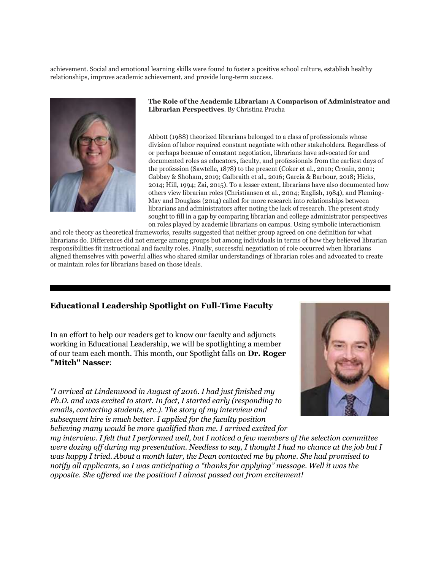achievement. Social and emotional learning skills were found to foster a positive school culture, establish healthy relationships, improve academic achievement, and provide long-term success.



**The Role of the Academic Librarian: A Comparison of Administrator and Librarian Perspectives**. By Christina Prucha

Abbott (1988) theorized librarians belonged to a class of professionals whose division of labor required constant negotiate with other stakeholders. Regardless of or perhaps because of constant negotiation, librarians have advocated for and documented roles as educators, faculty, and professionals from the earliest days of the profession (Sawtelle, 1878) to the present (Coker et al., 2010; Cronin, 2001; Gabbay & Shoham, 2019; Galbraith et al., 2016; Garcia & Barbour, 2018; Hicks, 2014; Hill, 1994; Zai, 2015). To a lesser extent, librarians have also documented how others view librarian roles (Christiansen et al., 2004; English, 1984), and Fleming-May and Douglass (2014) called for more research into relationships between librarians and administrators after noting the lack of research. The present study sought to fill in a gap by comparing librarian and college administrator perspectives on roles played by academic librarians on campus. Using symbolic interactionism

and role theory as theoretical frameworks, results suggested that neither group agreed on one definition for what librarians do. Differences did not emerge among groups but among individuals in terms of how they believed librarian responsibilities fit instructional and faculty roles. Finally, successful negotiation of role occurred when librarians aligned themselves with powerful allies who shared similar understandings of librarian roles and advocated to create or maintain roles for librarians based on those ideals.

### **Educational Leadership Spotlight on Full-Time Faculty**

In an effort to help our readers get to know our faculty and adjuncts working in Educational Leadership, we will be spotlighting a member of our team each month. This month, our Spotlight falls on **Dr. Roger "Mitch" Nasser**:

*"I arrived at Lindenwood in August of 2016. I had just finished my Ph.D. and was excited to start. In fact, I started early (responding to emails, contacting students, etc.). The story of my interview and subsequent hire is much better. I applied for the faculty position believing many would be more qualified than me. I arrived excited for* 



*my interview. I felt that I performed well, but I noticed a few members of the selection committee were dozing off during my presentation. Needless to say, I thought I had no chance at the job but I was happy I tried. About a month later, the Dean contacted me by phone. She had promised to notify all applicants, so I was anticipating a "thanks for applying" message. Well it was the opposite. She offered me the position! I almost passed out from excitement!*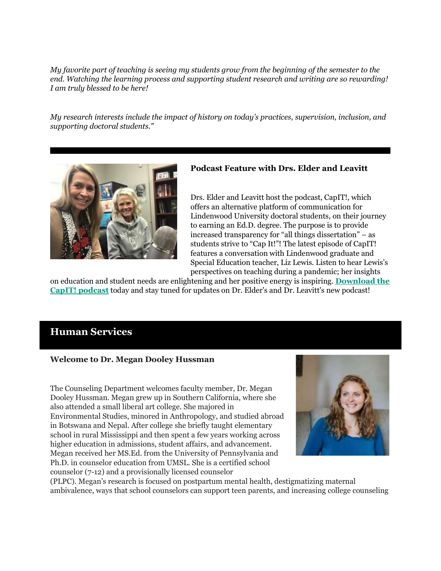*My favorite part of teaching is seeing my students grow from the beginning of the semester to the end. Watching the learning process and supporting student research and writing are so rewarding! I am truly blessed to be here!*

*My research interests include the impact of history on today's practices, supervision, inclusion, and supporting doctoral students."*



### **Podcast Feature with Drs. Elder and Leavitt**

Drs. Elder and Leavitt host the podcast, CapIT!, which offers an alternative platform of communication for Lindenwood University doctoral students, on their journey to earning an Ed.D. degree. The purpose is to provide increased transparency for "all things dissertation" – as students strive to "Cap It!"! The latest episode of CapIT! features a conversation with Lindenwood graduate and Special Education teacher, Liz Lewis. Listen to hear Lewis's perspectives on teaching during a pandemic; her insights

on education and student needs are enlightening and her positive energy is inspiring. **[Download the](https://r20.rs6.net/tn.jsp?f=001OyudalaqMfDmek_wghEkf8lnrtCzqTnIQ26e7PriG-1f0LepKVAv-X0yn1KT_ZPd9vcvl2u8XlzT-jfPkvG-ijvE91itM6YSISbS3XEZCyiuIW7DqYZeVkXZBxLD4aqY_5LueEKqmMmaciq89CvZBZwnGOsPlZBf&c=5N-BnfQZgtP9-4SSjLftOdk1hXeHR4h-hrHNI1Q9ZKsvJiNx6xcHAg==&ch=ecfgd0ELksFnUYtmzbaHD1C7naYMSTxWL1Le43lIU4hMh3VvPMsyVw==)  [CapIT! podcast](https://r20.rs6.net/tn.jsp?f=001OyudalaqMfDmek_wghEkf8lnrtCzqTnIQ26e7PriG-1f0LepKVAv-X0yn1KT_ZPd9vcvl2u8XlzT-jfPkvG-ijvE91itM6YSISbS3XEZCyiuIW7DqYZeVkXZBxLD4aqY_5LueEKqmMmaciq89CvZBZwnGOsPlZBf&c=5N-BnfQZgtP9-4SSjLftOdk1hXeHR4h-hrHNI1Q9ZKsvJiNx6xcHAg==&ch=ecfgd0ELksFnUYtmzbaHD1C7naYMSTxWL1Le43lIU4hMh3VvPMsyVw==)** today and stay tuned for updates on Dr. Elder's and Dr. Leavitt's new podcast!

### **Human Services**

### **Welcome to Dr. Megan Dooley Hussman**

The Counseling Department welcomes faculty member, Dr. Megan Dooley Hussman. Megan grew up in Southern California, where she also attended a small liberal art college. She majored in Environmental Studies, minored in Anthropology, and studied abroad in Botswana and Nepal. After college she briefly taught elementary school in rural Mississippi and then spent a few years working across higher education in admissions, student affairs, and advancement. Megan received her MS.Ed. from the University of Pennsylvania and Ph.D. in counselor education from UMSL. She is a certified school counselor (7-12) and a provisionally licensed counselor



(PLPC). Megan's research is focused on postpartum mental health, destigmatizing maternal ambivalence, ways that school counselors can support teen parents, and increasing college counseling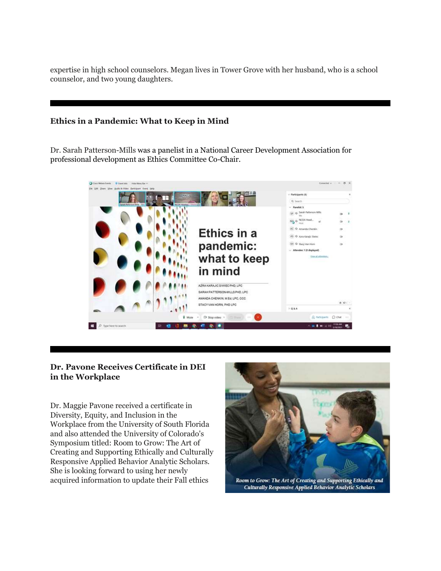expertise in high school counselors. Megan lives in Tower Grove with her husband, who is a school counselor, and two young daughters.

### **Ethics in a Pandemic: What to Keep in Mind**

Dr. Sarah Patterson-Mills was a panelist in a National Career Development Association for professional development as Ethics Committee Co-Chair.



### **Dr. Pavone Receives Certificate in DEI in the Workplace**

Dr. Maggie Pavone received a certificate in Diversity, Equity, and Inclusion in the Workplace from the University of South Florida and also attended the University of Colorado's Symposium titled: Room to Grow: The Art of Creating and Supporting Ethically and Culturally Responsive Applied Behavior Analytic Scholars. She is looking forward to using her newly acquired information to update their Fall ethics

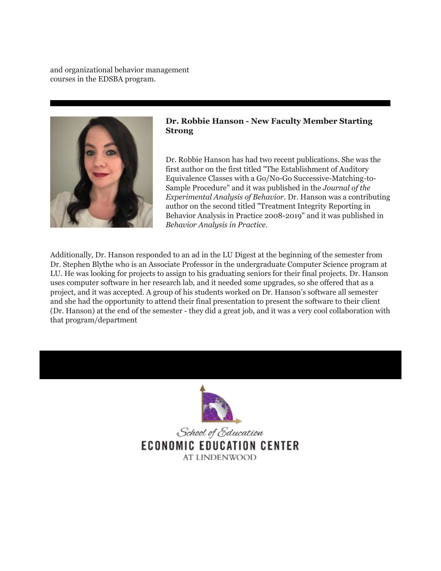and organizational behavior management courses in the EDSBA program.



### **Dr. Robbie Hanson - New Faculty Member Starting Strong**

Dr. Robbie Hanson has had two recent publications. She was the first author on the first titled "The Establishment of Auditory Equivalence Classes with a Go/No-Go Successive-Matching-to-Sample Procedure" and it was published in the *Journal of the Experimental Analysis of Behavior*. Dr. Hanson was a contributing author on the second titled "Treatment Integrity Reporting in Behavior Analysis in Practice 2008-2019" and it was published in *Behavior Analysis in Practice*.

Additionally, Dr. Hanson responded to an ad in the LU Digest at the beginning of the semester from Dr. Stephen Blythe who is an Associate Professor in the undergraduate Computer Science program at LU. He was looking for projects to assign to his graduating seniors for their final projects. Dr. Hanson uses computer software in her research lab, and it needed some upgrades, so she offered that as a project, and it was accepted. A group of his students worked on Dr. Hanson's software all semester and she had the opportunity to attend their final presentation to present the software to their client (Dr. Hanson) at the end of the semester - they did a great job, and it was a very cool collaboration with that program/department



School of Education **ECONOMIC EDUCATION CENTER** AT LINDENWOOD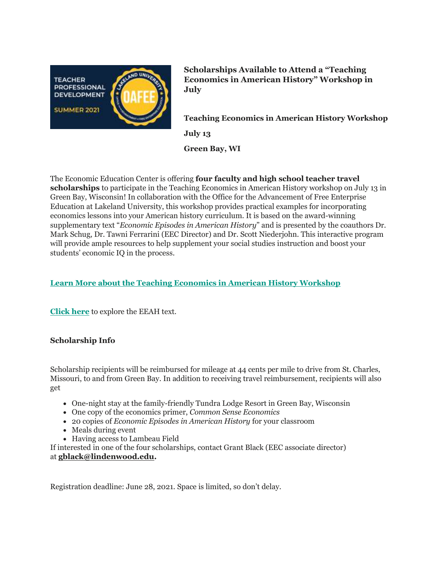

**Scholarships Available to Attend a "Teaching Economics in American History" Workshop in July**

**Teaching Economics in American History Workshop July 13**

**Green Bay, WI**

The Economic Education Center is offering **four faculty and high school teacher travel scholarships** to participate in the Teaching Economics in American History workshop on July 13 in Green Bay, Wisconsin! In collaboration with the Office for the Advancement of Free Enterprise Education at Lakeland University, this workshop provides practical examples for incorporating economics lessons into your American history curriculum. It is based on the award-winning supplementary text "*Economic Episodes in American History*" and is presented by the coauthors Dr. Mark Schug, Dr. Tawni Ferrarini (EEC Director) and Dr. Scott Niederjohn. This interactive program will provide ample resources to help supplement your social studies instruction and boost your students' economic IQ in the process.

### **[Learn More about the Teaching Economics in American History Workshop](https://r20.rs6.net/tn.jsp?f=001OyudalaqMfDmek_wghEkf8lnrtCzqTnIQ26e7PriG-1f0LepKVAv-a3utJUFsGt7sBVogV7MsQhGqH9-BLruB4zRZH_1upxuhf4shZBKq2koVQA1-vUTtBDQWtsutV2hhImlcDwbGOKnt0Jz7hRC4Q==&c=5N-BnfQZgtP9-4SSjLftOdk1hXeHR4h-hrHNI1Q9ZKsvJiNx6xcHAg==&ch=ecfgd0ELksFnUYtmzbaHD1C7naYMSTxWL1Le43lIU4hMh3VvPMsyVw==)**

**[Click here](https://r20.rs6.net/tn.jsp?f=001OyudalaqMfDmek_wghEkf8lnrtCzqTnIQ26e7PriG-1f0LepKVAv-a3utJUFsGt7bJFsmxSjsI-AWvZ6nq7xVNmhl1grDML-hsRGSgCh474AtOvcJPCiKDixBgZQ7E7I2H4zlLi7lhNdKLmN5TU-cJ-dAYKNOGKtYaQKwcrT0k_ZiMcZXujz67yTkFw5GRxILo4Vy1TxTeHex_AWLwWB32aP_0ieGah_jAg9LraGbfTjWKGMgnqDw6nnRB6X8DtuRFbjYXhIq_5zmedJBhFKXHC2bwqCsJ3XQiz4O3dzk6VjBQ5tUsxNJS814Etx2VQ-RIb7Xr780s_6qrnjb5HLp5hrMYFfTUE1ArY_w15kHn0-DunQFtiDqiVmr6M5xc71&c=5N-BnfQZgtP9-4SSjLftOdk1hXeHR4h-hrHNI1Q9ZKsvJiNx6xcHAg==&ch=ecfgd0ELksFnUYtmzbaHD1C7naYMSTxWL1Le43lIU4hMh3VvPMsyVw==)** to explore the EEAH text.

### **Scholarship Info**

Scholarship recipients will be reimbursed for mileage at 44 cents per mile to drive from St. Charles, Missouri, to and from Green Bay. In addition to receiving travel reimbursement, recipients will also get

- One-night stay at the family-friendly Tundra Lodge Resort in Green Bay, Wisconsin
- One copy of the economics primer, *Common Sense Economics*
- 20 copies of *Economic Episodes in American History* for your classroom
- Meals during event
- Having access to Lambeau Field

If interested in one of the four scholarships, contact Grant Black (EEC associate director) at **[gblack@lindenwood.edu.](mailto:gblack@lindenwood.edu)**

Registration deadline: June 28, 2021. Space is limited, so don't delay.